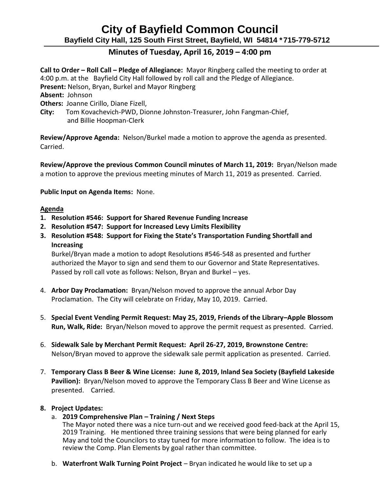## **City of Bayfield Common Council Bayfield City Hall, 125 South First Street, Bayfield, WI 54814 \*715-779-5712**

### **Minutes of Tuesday, April 16, 2019 – 4:00 pm**

**Call to Order – Roll Call – Pledge of Allegiance:** Mayor Ringberg called the meeting to order at 4:00 p.m. at the Bayfield City Hall followed by roll call and the Pledge of Allegiance. **Present:** Nelson, Bryan, Burkel and Mayor Ringberg

**Absent:** Johnson

**Others:** Joanne Cirillo, Diane Fizell,

**City:** Tom Kovachevich-PWD, Dionne Johnston-Treasurer, John Fangman-Chief, and Billie Hoopman-Clerk

**Review/Approve Agenda:** Nelson/Burkel made a motion to approve the agenda as presented. Carried.

**Review/Approve the previous Common Council minutes of March 11, 2019:** Bryan/Nelson made a motion to approve the previous meeting minutes of March 11, 2019 as presented. Carried.

**Public Input on Agenda Items:** None.

#### **Agenda**

- **1. Resolution #546: Support for Shared Revenue Funding Increase**
- **2. Resolution #547: Support for Increased Levy Limits Flexibility**
- **3. Resolution #548: Support for Fixing the State's Transportation Funding Shortfall and Increasing**

Burkel/Bryan made a motion to adopt Resolutions #546-548 as presented and further authorized the Mayor to sign and send them to our Governor and State Representatives. Passed by roll call vote as follows: Nelson, Bryan and Burkel – yes.

- 4. **Arbor Day Proclamation:** Bryan/Nelson moved to approve the annual Arbor Day Proclamation. The City will celebrate on Friday, May 10, 2019. Carried.
- 5. **Special Event Vending Permit Request: May 25, 2019, Friends of the Library–Apple Blossom Run, Walk, Ride:** Bryan/Nelson moved to approve the permit request as presented. Carried.
- 6. **Sidewalk Sale by Merchant Permit Request: April 26-27, 2019, Brownstone Centre:**  Nelson/Bryan moved to approve the sidewalk sale permit application as presented. Carried.
- 7. **Temporary Class B Beer & Wine License: June 8, 2019, Inland Sea Society (Bayfield Lakeside Pavilion):** Bryan/Nelson moved to approve the Temporary Class B Beer and Wine License as presented. Carried.

#### **8. Project Updates:**

a. **2019 Comprehensive Plan – Training / Next Steps**

The Mayor noted there was a nice turn-out and we received good feed-back at the April 15, 2019 Training. He mentioned three training sessions that were being planned for early May and told the Councilors to stay tuned for more information to follow. The idea is to review the Comp. Plan Elements by goal rather than committee.

b. **Waterfront Walk Turning Point Project** – Bryan indicated he would like to set up a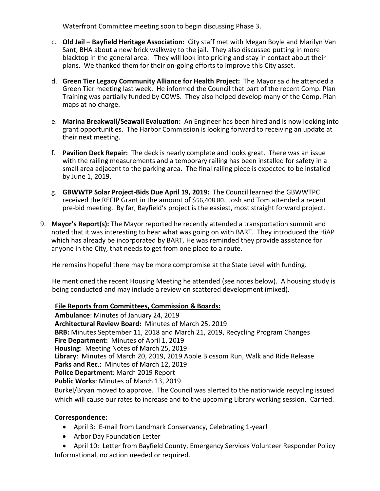Waterfront Committee meeting soon to begin discussing Phase 3.

- c. **Old Jail – Bayfield Heritage Association:** City staff met with Megan Boyle and Marilyn Van Sant, BHA about a new brick walkway to the jail. They also discussed putting in more blacktop in the general area. They will look into pricing and stay in contact about their plans. We thanked them for their on-going efforts to improve this City asset.
- d. **Green Tier Legacy Community Alliance for Health Project:** The Mayor said he attended a Green Tier meeting last week. He informed the Council that part of the recent Comp. Plan Training was partially funded by COWS. They also helped develop many of the Comp. Plan maps at no charge.
- e. **Marina Breakwall/Seawall Evaluation:** An Engineer has been hired and is now looking into grant opportunities. The Harbor Commission is looking forward to receiving an update at their next meeting.
- f. **Pavilion Deck Repair:** The deck is nearly complete and looks great. There was an issue with the railing measurements and a temporary railing has been installed for safety in a small area adjacent to the parking area. The final railing piece is expected to be installed by June 1, 2019.
- g. **GBWWTP Solar Project-Bids Due April 19, 2019:** The Council learned the GBWWTPC received the RECIP Grant in the amount of \$56,408.80. Josh and Tom attended a recent pre-bid meeting. By far, Bayfield's project is the easiest, most straight forward project.
- 9. **Mayor's Report(s):** The Mayor reported he recently attended a transportation summit and noted that it was interesting to hear what was going on with BART. They introduced the HiAP which has already be incorporated by BART. He was reminded they provide assistance for anyone in the City, that needs to get from one place to a route.

He remains hopeful there may be more compromise at the State Level with funding.

 He mentioned the recent Housing Meeting he attended (see notes below). A housing study is being conducted and may include a review on scattered development (mixed).

### **File Reports from Committees, Commission & Boards:**

**Ambulance**: Minutes of January 24, 2019 **Architectural Review Board:** Minutes of March 25, 2019 **BRB:** Minutes September 11, 2018 and March 21, 2019, Recycling Program Changes **Fire Department:** Minutes of April 1, 2019 **Housing**: Meeting Notes of March 25, 2019 **Library**: Minutes of March 20, 2019, 2019 Apple Blossom Run, Walk and Ride Release **Parks and Rec**.: Minutes of March 12, 2019 **Police Department**: March 2019 Report **Public Works**: Minutes of March 13, 2019

Burkel/Bryan moved to approve. The Council was alerted to the nationwide recycling issued which will cause our rates to increase and to the upcoming Library working session. Carried.

### **Correspondence:**

- April 3: E-mail from Landmark Conservancy, Celebrating 1-year!
- Arbor Day Foundation Letter
- April 10: Letter from Bayfield County, Emergency Services Volunteer Responder Policy Informational, no action needed or required.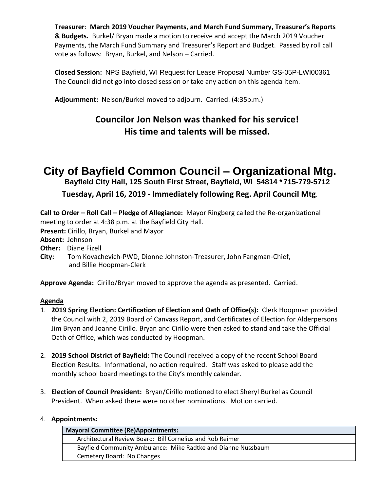**Treasurer**: **March 2019 Voucher Payments, and March Fund Summary, Treasurer's Reports & Budgets.** Burkel/ Bryan made a motion to receive and accept the March 2019 Voucher Payments, the March Fund Summary and Treasurer's Report and Budget. Passed by roll call vote as follows: Bryan, Burkel, and Nelson – Carried.

**Closed Session:** NPS Bayfield, WI Request for Lease Proposal Number GS-05P-LWI00361 The Council did not go into closed session or take any action on this agenda item.

**Adjournment:** Nelson/Burkel moved to adjourn. Carried. (4:35p.m.)

## **Councilor Jon Nelson was thanked for his service! His time and talents will be missed.**

# **City of Bayfield Common Council – Organizational Mtg.**

**Bayfield City Hall, 125 South First Street, Bayfield, WI 54814 \*715-779-5712**

### **Tuesday, April 16, 2019 - Immediately following Reg. April Council Mtg**.

**Call to Order – Roll Call – Pledge of Allegiance:** Mayor Ringberg called the Re-organizational meeting to order at 4:38 p.m. at the Bayfield City Hall. **Present:** Cirillo, Bryan, Burkel and Mayor **Absent:** Johnson **Other:** Diane Fizell **City:** Tom Kovachevich-PWD, Dionne Johnston-Treasurer, John Fangman-Chief, and Billie Hoopman-Clerk **Approve Agenda:** Cirillo/Bryan moved to approve the agenda as presented. Carried.

### **Agenda**

- 1. **2019 Spring Election: Certification of Election and Oath of Office(s):** Clerk Hoopman provided the Council with 2, 2019 Board of Canvass Report, and Certificates of Election for Alderpersons Jim Bryan and Joanne Cirillo. Bryan and Cirillo were then asked to stand and take the Official Oath of Office, which was conducted by Hoopman.
- 2. **2019 School District of Bayfield:** The Council received a copy of the recent School Board Election Results. Informational, no action required. Staff was asked to please add the monthly school board meetings to the City's monthly calendar.
- 3. **Election of Council President:** Bryan/Cirillo motioned to elect Sheryl Burkel as Council President. When asked there were no other nominations. Motion carried.

### 4. **Appointments:**

| <b>Mayoral Committee (Re)Appointments:</b>                    |
|---------------------------------------------------------------|
| Architectural Review Board: Bill Cornelius and Rob Reimer     |
| Bayfield Community Ambulance: Mike Radtke and Dianne Nussbaum |
| Cemetery Board: No Changes                                    |